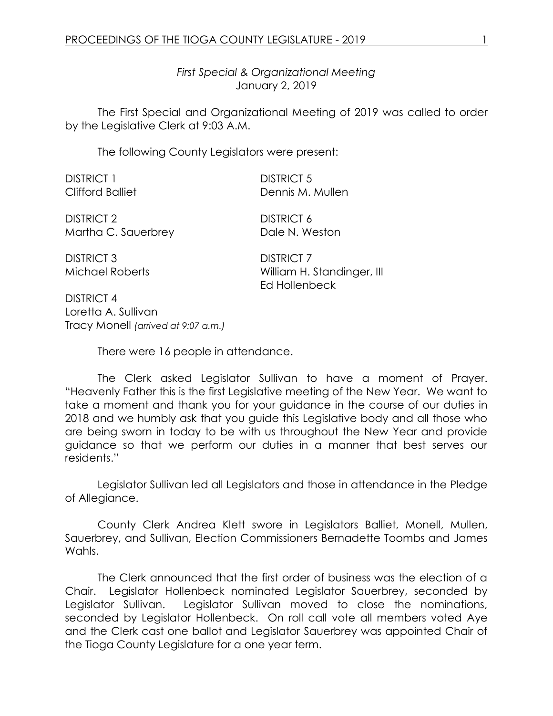*First Special & Organizational Meeting* January 2, 2019

The First Special and Organizational Meeting of 2019 was called to order by the Legislative Clerk at 9:03 A.M.

The following County Legislators were present:

DISTRICT 1 DISTRICT 5

Clifford Balliet Dennis M. Mullen

DISTRICT 2 DISTRICT 6 Martha C. Sauerbrey Dale N. Weston

DISTRICT 3 DISTRICT 7

Michael Roberts William H. Standinger, III Ed Hollenbeck

DISTRICT 4 Loretta A. Sullivan Tracy Monell *(arrived at 9:07 a.m.)*

There were 16 people in attendance.

The Clerk asked Legislator Sullivan to have a moment of Prayer. "Heavenly Father this is the first Legislative meeting of the New Year. We want to take a moment and thank you for your guidance in the course of our duties in 2018 and we humbly ask that you guide this Legislative body and all those who are being sworn in today to be with us throughout the New Year and provide guidance so that we perform our duties in a manner that best serves our residents."

Legislator Sullivan led all Legislators and those in attendance in the Pledge of Allegiance.

County Clerk Andrea Klett swore in Legislators Balliet, Monell, Mullen, Sauerbrey, and Sullivan, Election Commissioners Bernadette Toombs and James Wahls.

The Clerk announced that the first order of business was the election of a Chair. Legislator Hollenbeck nominated Legislator Sauerbrey, seconded by Legislator Sullivan. Legislator Sullivan moved to close the nominations, seconded by Legislator Hollenbeck. On roll call vote all members voted Aye and the Clerk cast one ballot and Legislator Sauerbrey was appointed Chair of the Tioga County Legislature for a one year term.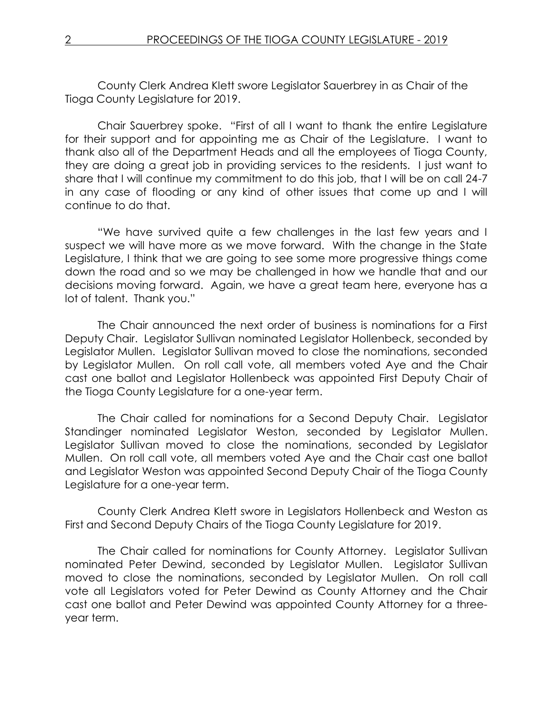County Clerk Andrea Klett swore Legislator Sauerbrey in as Chair of the Tioga County Legislature for 2019.

Chair Sauerbrey spoke. "First of all I want to thank the entire Legislature for their support and for appointing me as Chair of the Legislature. I want to thank also all of the Department Heads and all the employees of Tioga County, they are doing a great job in providing services to the residents. I just want to share that I will continue my commitment to do this job, that I will be on call 24-7 in any case of flooding or any kind of other issues that come up and I will continue to do that.

"We have survived quite a few challenges in the last few years and I suspect we will have more as we move forward. With the change in the State Legislature, I think that we are going to see some more progressive things come down the road and so we may be challenged in how we handle that and our decisions moving forward. Again, we have a great team here, everyone has a lot of talent. Thank you."

The Chair announced the next order of business is nominations for a First Deputy Chair. Legislator Sullivan nominated Legislator Hollenbeck, seconded by Legislator Mullen. Legislator Sullivan moved to close the nominations, seconded by Legislator Mullen. On roll call vote, all members voted Aye and the Chair cast one ballot and Legislator Hollenbeck was appointed First Deputy Chair of the Tioga County Legislature for a one-year term.

The Chair called for nominations for a Second Deputy Chair. Legislator Standinger nominated Legislator Weston, seconded by Legislator Mullen. Legislator Sullivan moved to close the nominations, seconded by Legislator Mullen. On roll call vote, all members voted Aye and the Chair cast one ballot and Legislator Weston was appointed Second Deputy Chair of the Tioga County Legislature for a one-year term.

County Clerk Andrea Klett swore in Legislators Hollenbeck and Weston as First and Second Deputy Chairs of the Tioga County Legislature for 2019.

The Chair called for nominations for County Attorney. Legislator Sullivan nominated Peter Dewind, seconded by Legislator Mullen. Legislator Sullivan moved to close the nominations, seconded by Legislator Mullen. On roll call vote all Legislators voted for Peter Dewind as County Attorney and the Chair cast one ballot and Peter Dewind was appointed County Attorney for a threeyear term.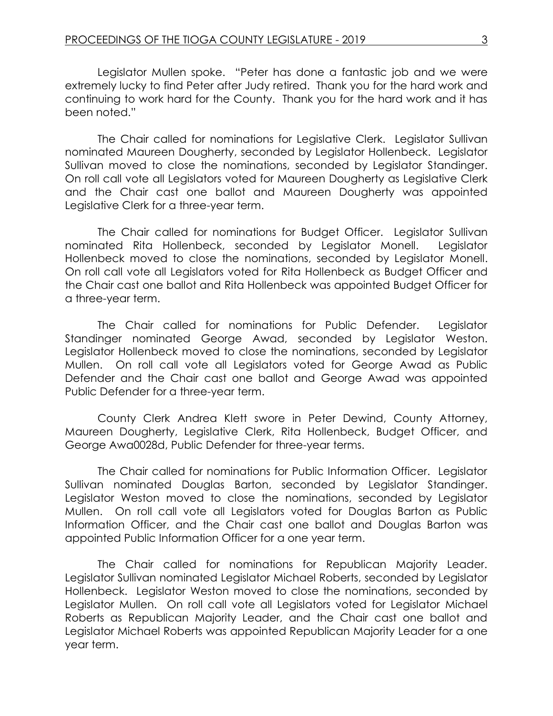Legislator Mullen spoke. "Peter has done a fantastic job and we were extremely lucky to find Peter after Judy retired. Thank you for the hard work and continuing to work hard for the County. Thank you for the hard work and it has been noted."

The Chair called for nominations for Legislative Clerk. Legislator Sullivan nominated Maureen Dougherty, seconded by Legislator Hollenbeck. Legislator Sullivan moved to close the nominations, seconded by Legislator Standinger. On roll call vote all Legislators voted for Maureen Dougherty as Legislative Clerk and the Chair cast one ballot and Maureen Dougherty was appointed Legislative Clerk for a three-year term.

The Chair called for nominations for Budget Officer. Legislator Sullivan nominated Rita Hollenbeck, seconded by Legislator Monell. Legislator Hollenbeck moved to close the nominations, seconded by Legislator Monell. On roll call vote all Legislators voted for Rita Hollenbeck as Budget Officer and the Chair cast one ballot and Rita Hollenbeck was appointed Budget Officer for a three-year term.

The Chair called for nominations for Public Defender. Legislator Standinger nominated George Awad, seconded by Legislator Weston. Legislator Hollenbeck moved to close the nominations, seconded by Legislator Mullen. On roll call vote all Legislators voted for George Awad as Public Defender and the Chair cast one ballot and George Awad was appointed Public Defender for a three-year term.

County Clerk Andrea Klett swore in Peter Dewind, County Attorney, Maureen Dougherty, Legislative Clerk, Rita Hollenbeck, Budget Officer, and George Awa0028d, Public Defender for three-year terms.

The Chair called for nominations for Public Information Officer. Legislator Sullivan nominated Douglas Barton, seconded by Legislator Standinger. Legislator Weston moved to close the nominations, seconded by Legislator Mullen. On roll call vote all Legislators voted for Douglas Barton as Public Information Officer, and the Chair cast one ballot and Douglas Barton was appointed Public Information Officer for a one year term.

The Chair called for nominations for Republican Majority Leader. Legislator Sullivan nominated Legislator Michael Roberts, seconded by Legislator Hollenbeck. Legislator Weston moved to close the nominations, seconded by Legislator Mullen. On roll call vote all Legislators voted for Legislator Michael Roberts as Republican Majority Leader, and the Chair cast one ballot and Legislator Michael Roberts was appointed Republican Majority Leader for a one year term.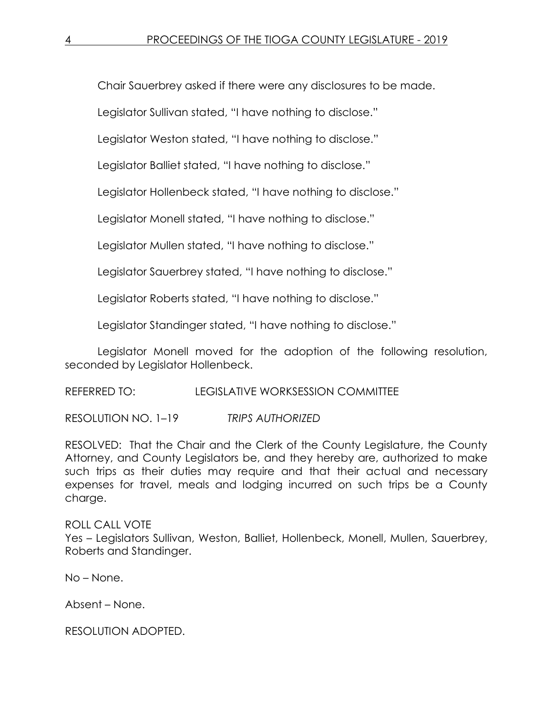Chair Sauerbrey asked if there were any disclosures to be made.

Legislator Sullivan stated, "I have nothing to disclose."

Legislator Weston stated, "I have nothing to disclose."

Legislator Balliet stated, "I have nothing to disclose."

Legislator Hollenbeck stated, "I have nothing to disclose."

Legislator Monell stated, "I have nothing to disclose."

Legislator Mullen stated, "I have nothing to disclose."

Legislator Sauerbrey stated, "I have nothing to disclose."

Legislator Roberts stated, "I have nothing to disclose."

Legislator Standinger stated, "I have nothing to disclose."

Legislator Monell moved for the adoption of the following resolution, seconded by Legislator Hollenbeck.

REFERRED TO: LEGISLATIVE WORKSESSION COMMITTEE

RESOLUTION NO. 1–19 *TRIPS AUTHORIZED*

RESOLVED: That the Chair and the Clerk of the County Legislature, the County Attorney, and County Legislators be, and they hereby are, authorized to make such trips as their duties may require and that their actual and necessary expenses for travel, meals and lodging incurred on such trips be a County charge.

ROLL CALL VOTE Yes – Legislators Sullivan, Weston, Balliet, Hollenbeck, Monell, Mullen, Sauerbrey, Roberts and Standinger.

No – None.

Absent – None.

RESOLUTION ADOPTED.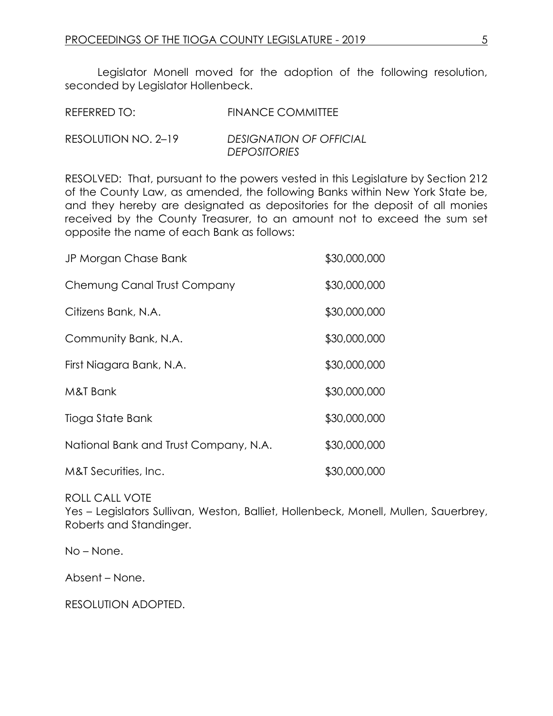Legislator Monell moved for the adoption of the following resolution, seconded by Legislator Hollenbeck.

| REFERRED TO:        | <b>FINANCE COMMITTEE</b>                              |
|---------------------|-------------------------------------------------------|
| RESOLUTION NO. 2-19 | <b>DESIGNATION OF OFFICIAL</b><br><b>DEPOSITORIES</b> |

RESOLVED: That, pursuant to the powers vested in this Legislature by Section 212 of the County Law, as amended, the following Banks within New York State be, and they hereby are designated as depositories for the deposit of all monies received by the County Treasurer, to an amount not to exceed the sum set opposite the name of each Bank as follows:

| JP Morgan Chase Bank                  | \$30,000,000 |
|---------------------------------------|--------------|
| Chemung Canal Trust Company           | \$30,000,000 |
| Citizens Bank, N.A.                   | \$30,000,000 |
| Community Bank, N.A.                  | \$30,000,000 |
| First Niagara Bank, N.A.              | \$30,000,000 |
| M&T Bank                              | \$30,000,000 |
| Tioga State Bank                      | \$30,000,000 |
| National Bank and Trust Company, N.A. | \$30,000,000 |
| M&T Securities, Inc.                  | \$30,000,000 |

ROLL CALL VOTE Yes – Legislators Sullivan, Weston, Balliet, Hollenbeck, Monell, Mullen, Sauerbrey, Roberts and Standinger.

No – None.

Absent – None.

RESOLUTION ADOPTED.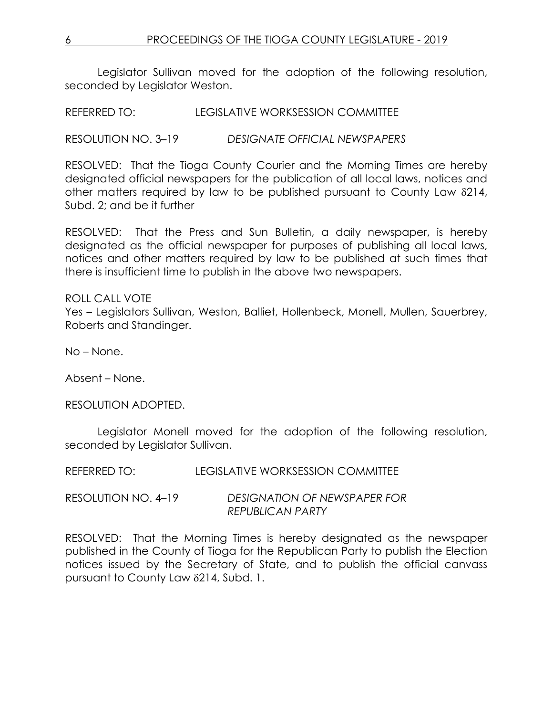Legislator Sullivan moved for the adoption of the following resolution, seconded by Legislator Weston.

REFERRED TO: LEGISLATIVE WORKSESSION COMMITTEE

RESOLUTION NO. 3–19 *DESIGNATE OFFICIAL NEWSPAPERS*

RESOLVED: That the Tioga County Courier and the Morning Times are hereby designated official newspapers for the publication of all local laws, notices and other matters required by law to be published pursuant to County Law  $\delta$ 214, Subd. 2; and be it further

RESOLVED: That the Press and Sun Bulletin, a daily newspaper, is hereby designated as the official newspaper for purposes of publishing all local laws, notices and other matters required by law to be published at such times that there is insufficient time to publish in the above two newspapers.

ROLL CALL VOTE Yes – Legislators Sullivan, Weston, Balliet, Hollenbeck, Monell, Mullen, Sauerbrey, Roberts and Standinger.

No – None.

Absent – None.

RESOLUTION ADOPTED.

Legislator Monell moved for the adoption of the following resolution, seconded by Legislator Sullivan.

REFERRED TO: LEGISLATIVE WORKSESSION COMMITTEE

RESOLUTION NO. 4–19 *DESIGNATION OF NEWSPAPER FOR REPUBLICAN PARTY*

RESOLVED: That the Morning Times is hereby designated as the newspaper published in the County of Tioga for the Republican Party to publish the Election notices issued by the Secretary of State, and to publish the official canvass pursuant to County Law 214, Subd. 1.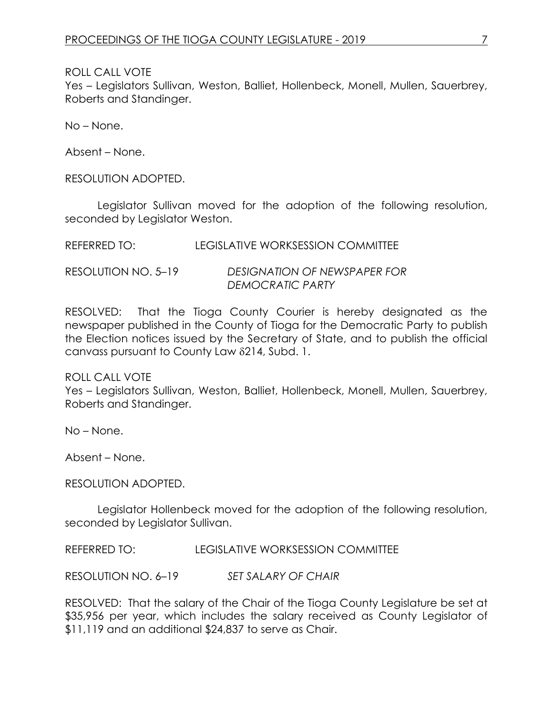ROLL CALL VOTE

Yes – Legislators Sullivan, Weston, Balliet, Hollenbeck, Monell, Mullen, Sauerbrey, Roberts and Standinger.

No – None.

Absent – None.

RESOLUTION ADOPTED.

Legislator Sullivan moved for the adoption of the following resolution, seconded by Legislator Weston.

| REFERRED TO: | LEGISLATIVE WORKSESSION COMMITTEE |
|--------------|-----------------------------------|
|              |                                   |

RESOLUTION NO. 5–19 *DESIGNATION OF NEWSPAPER FOR DEMOCRATIC PARTY*

RESOLVED: That the Tioga County Courier is hereby designated as the newspaper published in the County of Tioga for the Democratic Party to publish the Election notices issued by the Secretary of State, and to publish the official canvass pursuant to County Law 8214, Subd. 1.

ROLL CALL VOTE

Yes – Legislators Sullivan, Weston, Balliet, Hollenbeck, Monell, Mullen, Sauerbrey, Roberts and Standinger.

No – None.

Absent – None.

RESOLUTION ADOPTED.

Legislator Hollenbeck moved for the adoption of the following resolution, seconded by Legislator Sullivan.

REFERRED TO: LEGISLATIVE WORKSESSION COMMITTEE

RESOLUTION NO. 6–19 *SET SALARY OF CHAIR*

RESOLVED: That the salary of the Chair of the Tioga County Legislature be set at \$35,956 per year, which includes the salary received as County Legislator of \$11,119 and an additional \$24,837 to serve as Chair.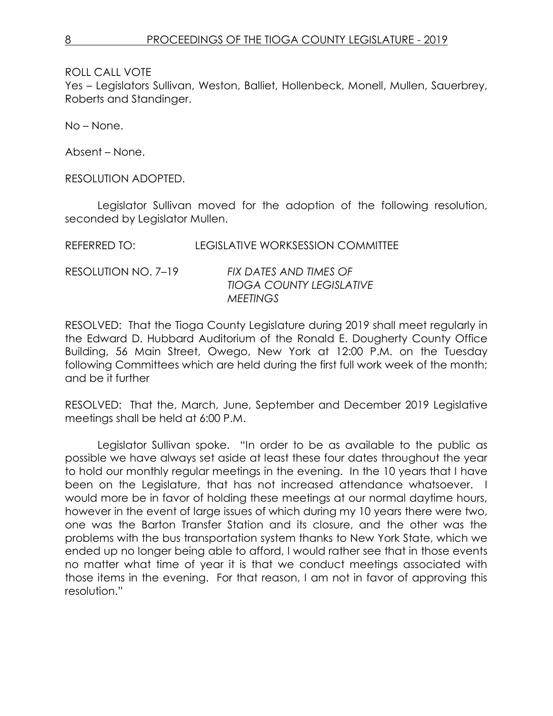ROLL CALL VOTE

Yes – Legislators Sullivan, Weston, Balliet, Hollenbeck, Monell, Mullen, Sauerbrey, Roberts and Standinger.

No – None.

Absent – None.

RESOLUTION ADOPTED.

Legislator Sullivan moved for the adoption of the following resolution, seconded by Legislator Mullen.

RESOLUTION NO. 7–19 *FIX DATES AND TIMES OF TIOGA COUNTY LEGISLATIVE MEETINGS*

RESOLVED: That the Tioga County Legislature during 2019 shall meet regularly in the Edward D. Hubbard Auditorium of the Ronald E. Dougherty County Office Building, 56 Main Street, Owego, New York at 12:00 P.M. on the Tuesday following Committees which are held during the first full work week of the month; and be it further

RESOLVED: That the, March, June, September and December 2019 Legislative meetings shall be held at 6:00 P.M.

Legislator Sullivan spoke. "In order to be as available to the public as possible we have always set aside at least these four dates throughout the year to hold our monthly regular meetings in the evening. In the 10 years that I have been on the Legislature, that has not increased attendance whatsoever. I would more be in favor of holding these meetings at our normal daytime hours, however in the event of large issues of which during my 10 years there were two, one was the Barton Transfer Station and its closure, and the other was the problems with the bus transportation system thanks to New York State, which we ended up no longer being able to afford, I would rather see that in those events no matter what time of year it is that we conduct meetings associated with those items in the evening. For that reason, I am not in favor of approving this resolution."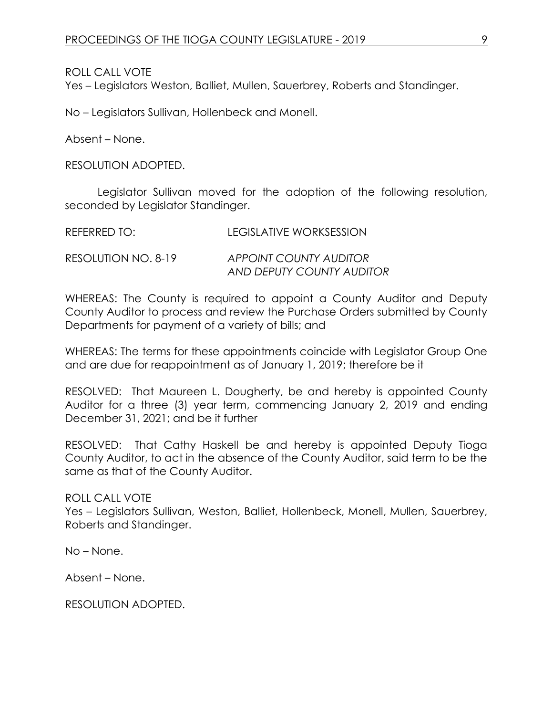ROLL CALL VOTE

Yes – Legislators Weston, Balliet, Mullen, Sauerbrey, Roberts and Standinger.

No – Legislators Sullivan, Hollenbeck and Monell.

Absent – None.

RESOLUTION ADOPTED.

Legislator Sullivan moved for the adoption of the following resolution, seconded by Legislator Standinger.

| REFERRED TO:        | <b>LEGISLATIVE WORKSESSION</b> |
|---------------------|--------------------------------|
| RESOLUTION NO. 8-19 | APPOINT COUNTY AUDITOR         |
|                     | AND DEPUTY COUNTY AUDITOR      |

WHEREAS: The County is required to appoint a County Auditor and Deputy County Auditor to process and review the Purchase Orders submitted by County Departments for payment of a variety of bills; and

WHEREAS: The terms for these appointments coincide with Legislator Group One and are due for reappointment as of January 1, 2019; therefore be it

RESOLVED: That Maureen L. Dougherty, be and hereby is appointed County Auditor for a three (3) year term, commencing January 2, 2019 and ending December 31, 2021; and be it further

RESOLVED: That Cathy Haskell be and hereby is appointed Deputy Tioga County Auditor, to act in the absence of the County Auditor, said term to be the same as that of the County Auditor.

ROLL CALL VOTE

Yes – Legislators Sullivan, Weston, Balliet, Hollenbeck, Monell, Mullen, Sauerbrey, Roberts and Standinger.

No – None.

Absent – None.

RESOLUTION ADOPTED.